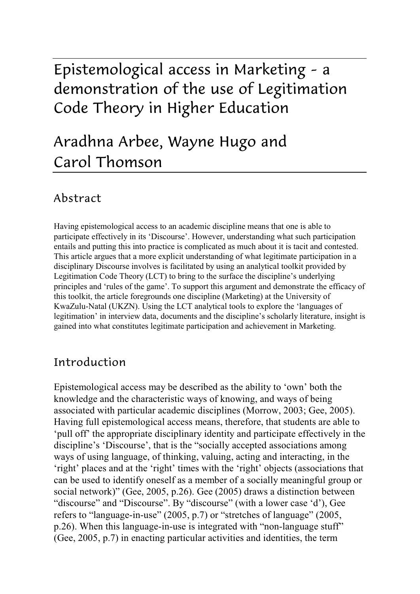# Epistemological access in Marketing – a demonstration of the use of Legitimation Code Theory in Higher Education

# Aradhna Arbee, Wayne Hugo and Carol Thomson

### Abstract

Having epistemological access to an academic discipline means that one is able to participate effectively in its 'Discourse'. However, understanding what such participation entails and putting this into practice is complicated as much about it is tacit and contested. This article argues that a more explicit understanding of what legitimate participation in a disciplinary Discourse involves is facilitated by using an analytical toolkit provided by Legitimation Code Theory (LCT) to bring to the surface the discipline's underlying principles and 'rules of the game'. To support this argument and demonstrate the efficacy of this toolkit, the article foregrounds one discipline (Marketing) at the University of KwaZulu-Natal (UKZN). Using the LCT analytical tools to explore the 'languages of legitimation' in interview data, documents and the discipline's scholarly literature, insight is gained into what constitutes legitimate participation and achievement in Marketing.

## Introduction

Epistemological access may be described as the ability to 'own' both the knowledge and the characteristic ways of knowing, and ways of being associated with particular academic disciplines (Morrow, 2003; Gee, 2005). Having full epistemological access means, therefore, that students are able to 'pull off' the appropriate disciplinary identity and participate effectively in the discipline's 'Discourse', that is the "socially accepted associations among ways of using language, of thinking, valuing, acting and interacting, in the 'right' places and at the 'right' times with the 'right' objects (associations that can be used to identify oneself as a member of a socially meaningful group or social network)" (Gee, 2005, p.26). Gee (2005) draws a distinction between "discourse" and "Discourse". By "discourse" (with a lower case 'd'), Gee refers to "language-in-use" (2005, p.7) or "stretches of language" (2005, p.26). When this language-in-use is integrated with "non-language stuff" (Gee, 2005, p.7) in enacting particular activities and identities, the term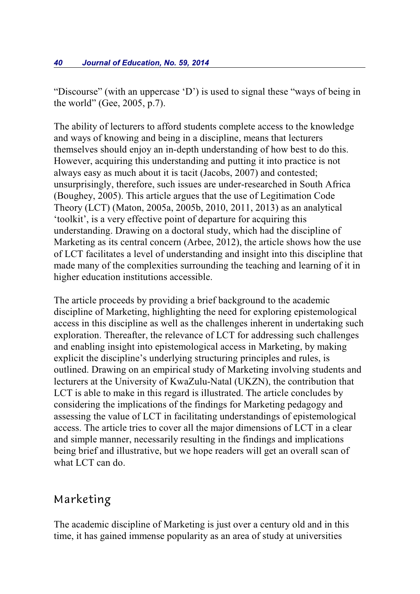"Discourse" (with an uppercase 'D') is used to signal these "ways of being in the world" (Gee, 2005, p.7).

The ability of lecturers to afford students complete access to the knowledge and ways of knowing and being in a discipline, means that lecturers themselves should enjoy an in-depth understanding of how best to do this. However, acquiring this understanding and putting it into practice is not always easy as much about it is tacit (Jacobs, 2007) and contested; unsurprisingly, therefore, such issues are under-researched in South Africa (Boughey, 2005). This article argues that the use of Legitimation Code Theory (LCT) (Maton, 2005a, 2005b, 2010, 2011, 2013) as an analytical 'toolkit', is a very effective point of departure for acquiring this understanding. Drawing on a doctoral study, which had the discipline of Marketing as its central concern (Arbee, 2012), the article shows how the use of LCT facilitates a level of understanding and insight into this discipline that made many of the complexities surrounding the teaching and learning of it in higher education institutions accessible.

The article proceeds by providing a brief background to the academic discipline of Marketing, highlighting the need for exploring epistemological access in this discipline as well as the challenges inherent in undertaking such exploration. Thereafter, the relevance of LCT for addressing such challenges and enabling insight into epistemological access in Marketing, by making explicit the discipline's underlying structuring principles and rules, is outlined. Drawing on an empirical study of Marketing involving students and lecturers at the University of KwaZulu-Natal (UKZN), the contribution that LCT is able to make in this regard is illustrated. The article concludes by considering the implications of the findings for Marketing pedagogy and assessing the value of LCT in facilitating understandings of epistemological access. The article tries to cover all the major dimensions of LCT in a clear and simple manner, necessarily resulting in the findings and implications being brief and illustrative, but we hope readers will get an overall scan of what LCT can do.

### Marketing

The academic discipline of Marketing is just over a century old and in this time, it has gained immense popularity as an area of study at universities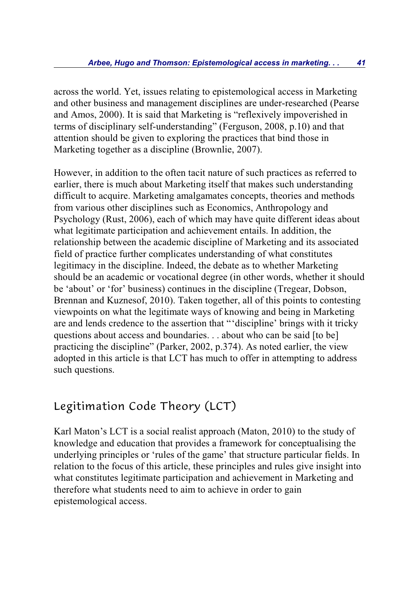across the world. Yet, issues relating to epistemological access in Marketing and other business and management disciplines are under-researched (Pearse and Amos, 2000). It is said that Marketing is "reflexively impoverished in terms of disciplinary self-understanding" (Ferguson, 2008, p.10) and that attention should be given to exploring the practices that bind those in Marketing together as a discipline (Brownlie, 2007).

However, in addition to the often tacit nature of such practices as referred to earlier, there is much about Marketing itself that makes such understanding difficult to acquire. Marketing amalgamates concepts, theories and methods from various other disciplines such as Economics, Anthropology and Psychology (Rust, 2006), each of which may have quite different ideas about what legitimate participation and achievement entails. In addition, the relationship between the academic discipline of Marketing and its associated field of practice further complicates understanding of what constitutes legitimacy in the discipline. Indeed, the debate as to whether Marketing should be an academic or vocational degree (in other words, whether it should be 'about' or 'for' business) continues in the discipline (Tregear, Dobson, Brennan and Kuznesof, 2010). Taken together, all of this points to contesting viewpoints on what the legitimate ways of knowing and being in Marketing are and lends credence to the assertion that "'discipline' brings with it tricky questions about access and boundaries. . . about who can be said [to be] practicing the discipline" (Parker, 2002, p.374). As noted earlier, the view adopted in this article is that LCT has much to offer in attempting to address such questions.

# Legitimation Code Theory (LCT)

Karl Maton's LCT is a social realist approach (Maton, 2010) to the study of knowledge and education that provides a framework for conceptualising the underlying principles or 'rules of the game' that structure particular fields. In relation to the focus of this article, these principles and rules give insight into what constitutes legitimate participation and achievement in Marketing and therefore what students need to aim to achieve in order to gain epistemological access.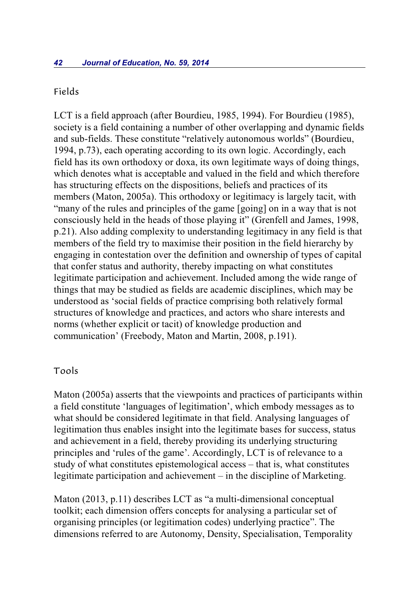### Fields

LCT is a field approach (after Bourdieu, 1985, 1994). For Bourdieu (1985), society is a field containing a number of other overlapping and dynamic fields and sub-fields. These constitute "relatively autonomous worlds" (Bourdieu, 1994, p.73), each operating according to its own logic. Accordingly, each field has its own orthodoxy or doxa, its own legitimate ways of doing things, which denotes what is acceptable and valued in the field and which therefore has structuring effects on the dispositions, beliefs and practices of its members (Maton, 2005a). This orthodoxy or legitimacy is largely tacit, with "many of the rules and principles of the game [going] on in a way that is not consciously held in the heads of those playing it" (Grenfell and James, 1998, p.21). Also adding complexity to understanding legitimacy in any field is that members of the field try to maximise their position in the field hierarchy by engaging in contestation over the definition and ownership of types of capital that confer status and authority, thereby impacting on what constitutes legitimate participation and achievement. Included among the wide range of things that may be studied as fields are academic disciplines, which may be understood as 'social fields of practice comprising both relatively formal structures of knowledge and practices, and actors who share interests and norms (whether explicit or tacit) of knowledge production and communication' (Freebody, Maton and Martin, 2008, p.191).

### Tools

Maton (2005a) asserts that the viewpoints and practices of participants within a field constitute 'languages of legitimation', which embody messages as to what should be considered legitimate in that field. Analysing languages of legitimation thus enables insight into the legitimate bases for success, status and achievement in a field, thereby providing its underlying structuring principles and 'rules of the game'. Accordingly, LCT is of relevance to a study of what constitutes epistemological access – that is, what constitutes legitimate participation and achievement – in the discipline of Marketing.

Maton (2013, p.11) describes LCT as "a multi-dimensional conceptual toolkit; each dimension offers concepts for analysing a particular set of organising principles (or legitimation codes) underlying practice". The dimensions referred to are Autonomy, Density, Specialisation, Temporality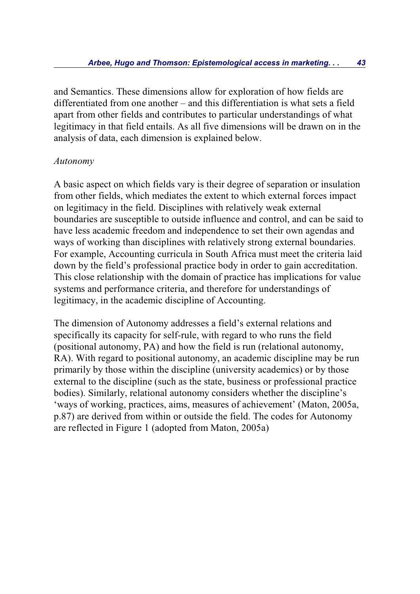and Semantics. These dimensions allow for exploration of how fields are differentiated from one another – and this differentiation is what sets a field apart from other fields and contributes to particular understandings of what legitimacy in that field entails. As all five dimensions will be drawn on in the analysis of data, each dimension is explained below.

### *Autonomy*

A basic aspect on which fields vary is their degree of separation or insulation from other fields, which mediates the extent to which external forces impact on legitimacy in the field. Disciplines with relatively weak external boundaries are susceptible to outside influence and control, and can be said to have less academic freedom and independence to set their own agendas and ways of working than disciplines with relatively strong external boundaries. For example, Accounting curricula in South Africa must meet the criteria laid down by the field's professional practice body in order to gain accreditation. This close relationship with the domain of practice has implications for value systems and performance criteria, and therefore for understandings of legitimacy, in the academic discipline of Accounting.

The dimension of Autonomy addresses a field's external relations and specifically its capacity for self-rule, with regard to who runs the field (positional autonomy, PA) and how the field is run (relational autonomy, RA). With regard to positional autonomy, an academic discipline may be run primarily by those within the discipline (university academics) or by those external to the discipline (such as the state, business or professional practice bodies). Similarly, relational autonomy considers whether the discipline's 'ways of working, practices, aims, measures of achievement' (Maton, 2005a, p.87) are derived from within or outside the field. The codes for Autonomy are reflected in Figure 1 (adopted from Maton, 2005a)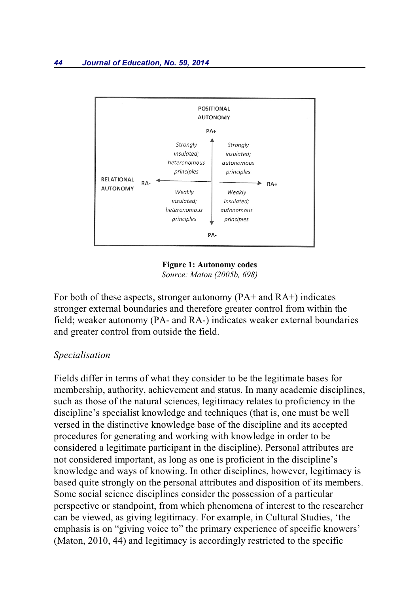

**Figure 1: Autonomy codes** *Source: Maton (2005b, 698)*

For both of these aspects, stronger autonomy (PA+ and RA+) indicates stronger external boundaries and therefore greater control from within the field; weaker autonomy (PA- and RA-) indicates weaker external boundaries and greater control from outside the field.

#### *Specialisation*

Fields differ in terms of what they consider to be the legitimate bases for membership, authority, achievement and status. In many academic disciplines, such as those of the natural sciences, legitimacy relates to proficiency in the discipline's specialist knowledge and techniques (that is, one must be well versed in the distinctive knowledge base of the discipline and its accepted procedures for generating and working with knowledge in order to be considered a legitimate participant in the discipline). Personal attributes are not considered important, as long as one is proficient in the discipline's knowledge and ways of knowing. In other disciplines, however, legitimacy is based quite strongly on the personal attributes and disposition of its members. Some social science disciplines consider the possession of a particular perspective or standpoint, from which phenomena of interest to the researcher can be viewed, as giving legitimacy. For example, in Cultural Studies, 'the emphasis is on "giving voice to" the primary experience of specific knowers' (Maton, 2010, 44) and legitimacy is accordingly restricted to the specific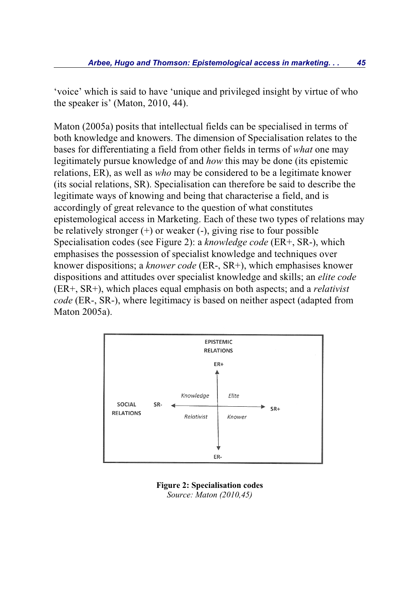'voice' which is said to have 'unique and privileged insight by virtue of who the speaker is' (Maton, 2010, 44).

Maton (2005a) posits that intellectual fields can be specialised in terms of both knowledge and knowers. The dimension of Specialisation relates to the bases for differentiating a field from other fields in terms of *what* one may legitimately pursue knowledge of and *how* this may be done (its epistemic relations, ER), as well as *who* may be considered to be a legitimate knower (its social relations, SR). Specialisation can therefore be said to describe the legitimate ways of knowing and being that characterise a field, and is accordingly of great relevance to the question of what constitutes epistemological access in Marketing. Each of these two types of relations may be relatively stronger  $(+)$  or weaker  $(-)$ , giving rise to four possible Specialisation codes (see Figure 2): a *knowledge code* (ER+, SR-), which emphasises the possession of specialist knowledge and techniques over knower dispositions; a *knower code* (ER-, SR+), which emphasises knower dispositions and attitudes over specialist knowledge and skills; an *elite code* (ER+, SR+), which places equal emphasis on both aspects; and a *relativist code* (ER-, SR-), where legitimacy is based on neither aspect (adapted from Maton 2005a).



**Figure 2: Specialisation codes** *Source: Maton (2010,45)*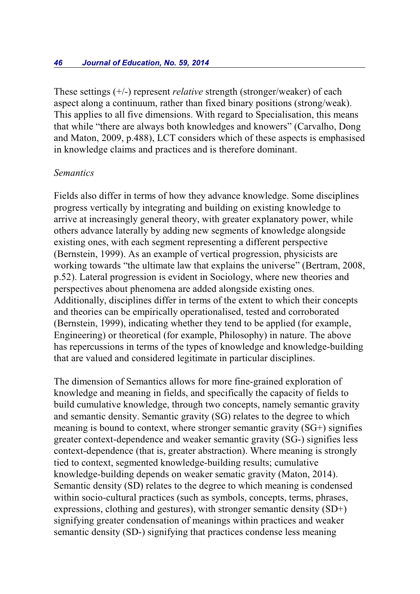These settings (+/-) represent *relative* strength (stronger/weaker) of each aspect along a continuum, rather than fixed binary positions (strong/weak). This applies to all five dimensions. With regard to Specialisation, this means that while "there are always both knowledges and knowers" (Carvalho, Dong and Maton, 2009, p.488), LCT considers which of these aspects is emphasised in knowledge claims and practices and is therefore dominant.

#### *Semantics*

Fields also differ in terms of how they advance knowledge. Some disciplines progress vertically by integrating and building on existing knowledge to arrive at increasingly general theory, with greater explanatory power, while others advance laterally by adding new segments of knowledge alongside existing ones, with each segment representing a different perspective (Bernstein, 1999). As an example of vertical progression, physicists are working towards "the ultimate law that explains the universe" (Bertram, 2008, p.52). Lateral progression is evident in Sociology, where new theories and perspectives about phenomena are added alongside existing ones. Additionally, disciplines differ in terms of the extent to which their concepts and theories can be empirically operationalised, tested and corroborated (Bernstein, 1999), indicating whether they tend to be applied (for example, Engineering) or theoretical (for example, Philosophy) in nature. The above has repercussions in terms of the types of knowledge and knowledge-building that are valued and considered legitimate in particular disciplines.

The dimension of Semantics allows for more fine-grained exploration of knowledge and meaning in fields, and specifically the capacity of fields to build cumulative knowledge, through two concepts, namely semantic gravity and semantic density. Semantic gravity (SG) relates to the degree to which meaning is bound to context, where stronger semantic gravity (SG+) signifies greater context-dependence and weaker semantic gravity (SG-) signifies less context-dependence (that is, greater abstraction). Where meaning is strongly tied to context, segmented knowledge-building results; cumulative knowledge-building depends on weaker sematic gravity (Maton, 2014). Semantic density (SD) relates to the degree to which meaning is condensed within socio-cultural practices (such as symbols, concepts, terms, phrases, expressions, clothing and gestures), with stronger semantic density (SD+) signifying greater condensation of meanings within practices and weaker semantic density (SD-) signifying that practices condense less meaning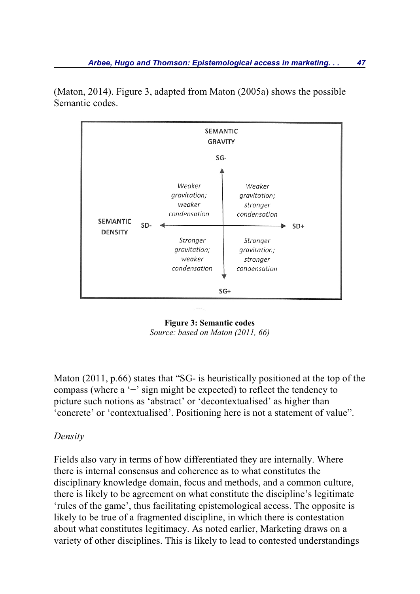

(Maton, 2014). Figure 3, adapted from Maton (2005a) shows the possible Semantic codes.



Maton (2011, p.66) states that "SG- is heuristically positioned at the top of the compass (where a '+' sign might be expected) to reflect the tendency to picture such notions as 'abstract' or 'decontextualised' as higher than 'concrete' or 'contextualised'. Positioning here is not a statement of value".

### *Density*

Fields also vary in terms of how differentiated they are internally. Where there is internal consensus and coherence as to what constitutes the disciplinary knowledge domain, focus and methods, and a common culture, there is likely to be agreement on what constitute the discipline's legitimate 'rules of the game', thus facilitating epistemological access. The opposite is likely to be true of a fragmented discipline, in which there is contestation about what constitutes legitimacy. As noted earlier, Marketing draws on a variety of other disciplines. This is likely to lead to contested understandings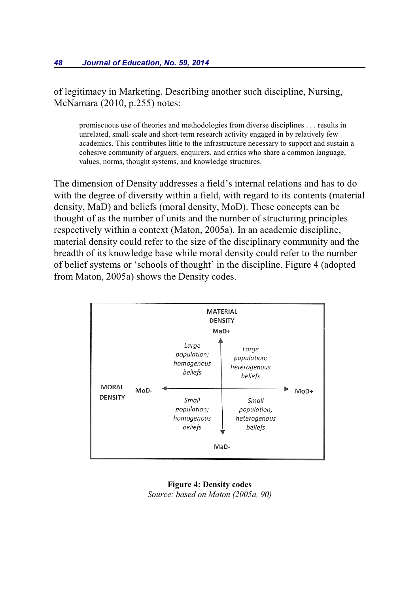of legitimacy in Marketing. Describing another such discipline, Nursing, McNamara (2010, p.255) notes:

promiscuous use of theories and methodologies from diverse disciplines . . . results in unrelated, small-scale and short-term research activity engaged in by relatively few academics. This contributes little to the infrastructure necessary to support and sustain a cohesive community of arguers, enquirers, and critics who share a common language, values, norms, thought systems, and knowledge structures.

The dimension of Density addresses a field's internal relations and has to do with the degree of diversity within a field, with regard to its contents (material density, MaD) and beliefs (moral density, MoD). These concepts can be thought of as the number of units and the number of structuring principles respectively within a context (Maton, 2005a). In an academic discipline, material density could refer to the size of the disciplinary community and the breadth of its knowledge base while moral density could refer to the number of belief systems or 'schools of thought' in the discipline. Figure 4 (adopted from Maton, 2005a) shows the Density codes.



**Figure 4: Density codes** *Source: based on Maton (2005a, 90)*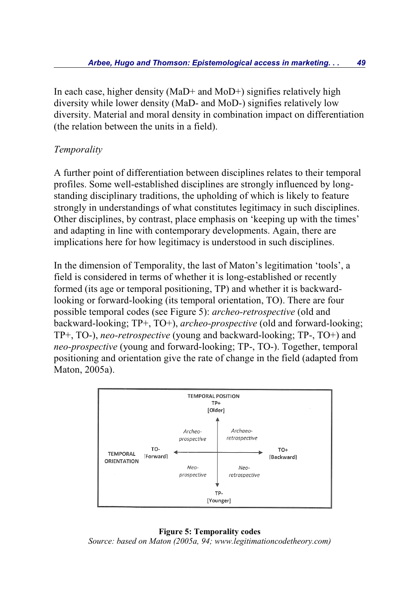In each case, higher density (MaD+ and MoD+) signifies relatively high diversity while lower density (MaD- and MoD-) signifies relatively low diversity. Material and moral density in combination impact on differentiation (the relation between the units in a field).

### *Temporality*

A further point of differentiation between disciplines relates to their temporal profiles. Some well-established disciplines are strongly influenced by longstanding disciplinary traditions, the upholding of which is likely to feature strongly in understandings of what constitutes legitimacy in such disciplines. Other disciplines, by contrast, place emphasis on 'keeping up with the times' and adapting in line with contemporary developments. Again, there are implications here for how legitimacy is understood in such disciplines.

In the dimension of Temporality, the last of Maton's legitimation 'tools', a field is considered in terms of whether it is long-established or recently formed (its age or temporal positioning, TP) and whether it is backwardlooking or forward-looking (its temporal orientation, TO). There are four possible temporal codes (see Figure 5): *archeo-retrospective* (old and backward-looking; TP+, TO+), *archeo-prospective* (old and forward-looking; TP+, TO-), *neo-retrospective* (young and backward-looking; TP-, TO+) and *neo-prospective* (young and forward-looking; TP-, TO-). Together, temporal positioning and orientation give the rate of change in the field (adapted from Maton, 2005a).



#### **Figure 5: Temporality codes**

*Source: based on Maton (2005a, 94; www.legitimationcodetheory.com)*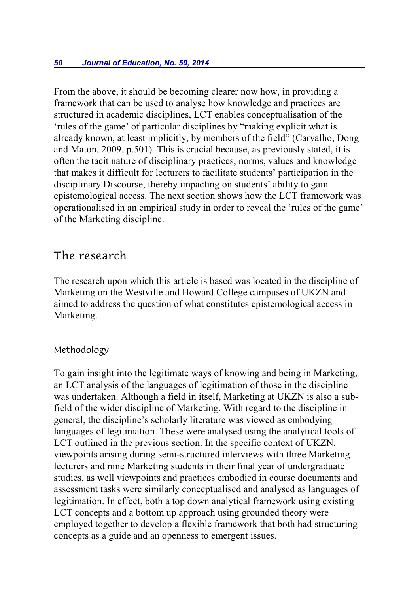From the above, it should be becoming clearer now how, in providing a framework that can be used to analyse how knowledge and practices are structured in academic disciplines, LCT enables conceptualisation of the 'rules of the game' of particular disciplines by "making explicit what is already known, at least implicitly, by members of the field" (Carvalho, Dong and Maton, 2009, p.501). This is crucial because, as previously stated, it is often the tacit nature of disciplinary practices, norms, values and knowledge that makes it difficult for lecturers to facilitate students' participation in the disciplinary Discourse, thereby impacting on students' ability to gain epistemological access. The next section shows how the LCT framework was operationalised in an empirical study in order to reveal the 'rules of the game' of the Marketing discipline.

### The research

The research upon which this article is based was located in the discipline of Marketing on the Westville and Howard College campuses of UKZN and aimed to address the question of what constitutes epistemological access in Marketing.

### Methodology

To gain insight into the legitimate ways of knowing and being in Marketing, an LCT analysis of the languages of legitimation of those in the discipline was undertaken. Although a field in itself, Marketing at UKZN is also a subfield of the wider discipline of Marketing. With regard to the discipline in general, the discipline's scholarly literature was viewed as embodying languages of legitimation. These were analysed using the analytical tools of LCT outlined in the previous section. In the specific context of UKZN, viewpoints arising during semi-structured interviews with three Marketing lecturers and nine Marketing students in their final year of undergraduate studies, as well viewpoints and practices embodied in course documents and assessment tasks were similarly conceptualised and analysed as languages of legitimation. In effect, both a top down analytical framework using existing LCT concepts and a bottom up approach using grounded theory were employed together to develop a flexible framework that both had structuring concepts as a guide and an openness to emergent issues.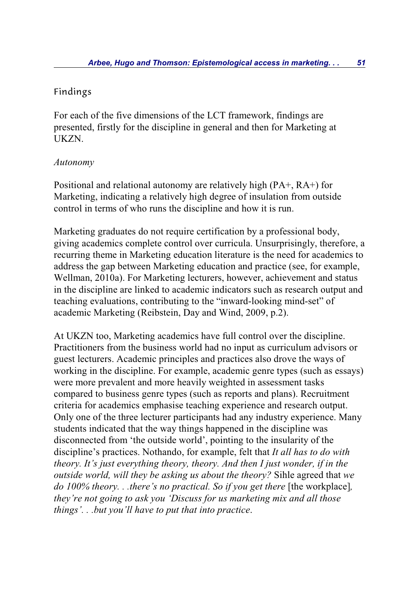### Findings

For each of the five dimensions of the LCT framework, findings are presented, firstly for the discipline in general and then for Marketing at UKZN.

### *Autonomy*

Positional and relational autonomy are relatively high (PA+, RA+) for Marketing, indicating a relatively high degree of insulation from outside control in terms of who runs the discipline and how it is run.

Marketing graduates do not require certification by a professional body, giving academics complete control over curricula. Unsurprisingly, therefore, a recurring theme in Marketing education literature is the need for academics to address the gap between Marketing education and practice (see, for example, Wellman, 2010a). For Marketing lecturers, however, achievement and status in the discipline are linked to academic indicators such as research output and teaching evaluations, contributing to the "inward-looking mind-set" of academic Marketing (Reibstein, Day and Wind, 2009, p.2).

At UKZN too, Marketing academics have full control over the discipline. Practitioners from the business world had no input as curriculum advisors or guest lecturers. Academic principles and practices also drove the ways of working in the discipline. For example, academic genre types (such as essays) were more prevalent and more heavily weighted in assessment tasks compared to business genre types (such as reports and plans). Recruitment criteria for academics emphasise teaching experience and research output. Only one of the three lecturer participants had any industry experience. Many students indicated that the way things happened in the discipline was disconnected from 'the outside world', pointing to the insularity of the discipline's practices. Nothando, for example, felt that *It all has to do with theory. It's just everything theory, theory. And then I just wonder, if in the outside world, will they be asking us about the theory?* Sihle agreed that *we do 100% theory...there's no practical. So if you get there* [the workplace], *they're not going to ask you 'Discuss for us marketing mix and all those things'. . .but you'll have to put that into practice*.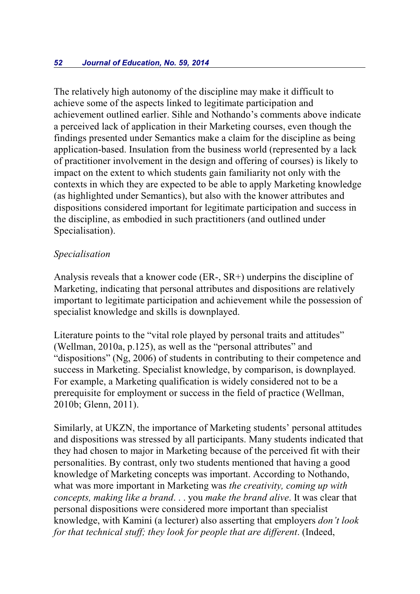The relatively high autonomy of the discipline may make it difficult to achieve some of the aspects linked to legitimate participation and achievement outlined earlier. Sihle and Nothando's comments above indicate a perceived lack of application in their Marketing courses, even though the findings presented under Semantics make a claim for the discipline as being application-based. Insulation from the business world (represented by a lack of practitioner involvement in the design and offering of courses) is likely to impact on the extent to which students gain familiarity not only with the contexts in which they are expected to be able to apply Marketing knowledge (as highlighted under Semantics), but also with the knower attributes and dispositions considered important for legitimate participation and success in the discipline, as embodied in such practitioners (and outlined under Specialisation).

### *Specialisation*

Analysis reveals that a knower code (ER-, SR+) underpins the discipline of Marketing, indicating that personal attributes and dispositions are relatively important to legitimate participation and achievement while the possession of specialist knowledge and skills is downplayed.

Literature points to the "vital role played by personal traits and attitudes" (Wellman, 2010a, p.125), as well as the "personal attributes" and "dispositions" (Ng, 2006) of students in contributing to their competence and success in Marketing. Specialist knowledge, by comparison, is downplayed. For example, a Marketing qualification is widely considered not to be a prerequisite for employment or success in the field of practice (Wellman, 2010b; Glenn, 2011).

Similarly, at UKZN, the importance of Marketing students' personal attitudes and dispositions was stressed by all participants. Many students indicated that they had chosen to major in Marketing because of the perceived fit with their personalities. By contrast, only two students mentioned that having a good knowledge of Marketing concepts was important. According to Nothando, what was more important in Marketing was *the creativity, coming up with concepts, making like a brand*. . . you *make the brand alive*. It was clear that personal dispositions were considered more important than specialist knowledge, with Kamini (a lecturer) also asserting that employers *don't look for that technical stuff; they look for people that are different*. (Indeed,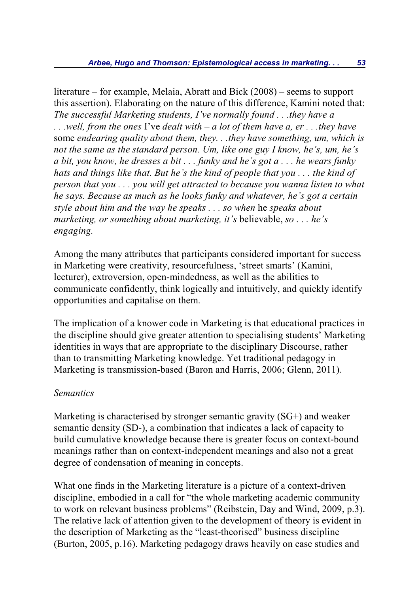literature – for example, Melaia, Abratt and Bick (2008) – seems to support this assertion). Elaborating on the nature of this difference, Kamini noted that: *The successful Marketing students, I've normally found . . .they have a . . .well, from the ones* I've *dealt with – a lot of them have a, er . . .they have* some *endearing quality about them, they. . .they have something, um, which is not the same as the standard person. Um, like one guy I know, he's, um, he's a bit, you know, he dresses a bit . . . funky and he's got a . . . he wears funky hats and things like that. But he's the kind of people that you . . . the kind of person that you . . . you will get attracted to because you wanna listen to what he says. Because as much as he looks funky and whatever, he's got a certain style about him and the way he speaks . . . so when* he *speaks about marketing, or something about marketing, it's* believable, *so . . . he's engaging.*

Among the many attributes that participants considered important for success in Marketing were creativity, resourcefulness, 'street smarts' (Kamini, lecturer), extroversion, open-mindedness, as well as the abilities to communicate confidently, think logically and intuitively, and quickly identify opportunities and capitalise on them.

The implication of a knower code in Marketing is that educational practices in the discipline should give greater attention to specialising students' Marketing identities in ways that are appropriate to the disciplinary Discourse, rather than to transmitting Marketing knowledge. Yet traditional pedagogy in Marketing is transmission-based (Baron and Harris, 2006; Glenn, 2011).

### *Semantics*

Marketing is characterised by stronger semantic gravity (SG+) and weaker semantic density (SD-), a combination that indicates a lack of capacity to build cumulative knowledge because there is greater focus on context-bound meanings rather than on context-independent meanings and also not a great degree of condensation of meaning in concepts.

What one finds in the Marketing literature is a picture of a context-driven discipline, embodied in a call for "the whole marketing academic community to work on relevant business problems" (Reibstein, Day and Wind, 2009, p.3). The relative lack of attention given to the development of theory is evident in the description of Marketing as the "least-theorised" business discipline (Burton, 2005, p.16). Marketing pedagogy draws heavily on case studies and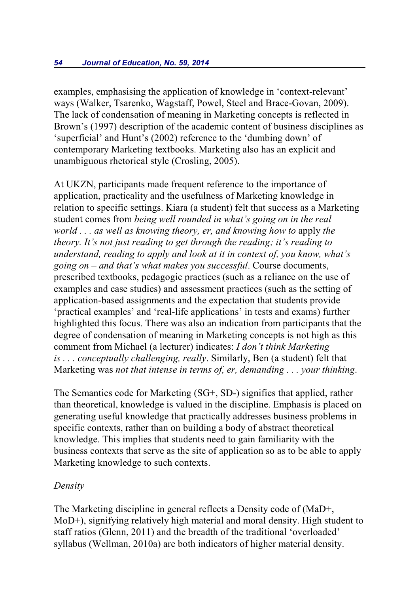examples, emphasising the application of knowledge in 'context-relevant' ways (Walker, Tsarenko, Wagstaff, Powel, Steel and Brace-Govan, 2009). The lack of condensation of meaning in Marketing concepts is reflected in Brown's (1997) description of the academic content of business disciplines as 'superficial' and Hunt's (2002) reference to the 'dumbing down' of contemporary Marketing textbooks. Marketing also has an explicit and unambiguous rhetorical style (Crosling, 2005).

At UKZN, participants made frequent reference to the importance of application, practicality and the usefulness of Marketing knowledge in relation to specific settings. Kiara (a student) felt that success as a Marketing student comes from *being well rounded in what's going on in the real world . . . as well as knowing theory, er, and knowing how to* apply *the theory. It's not just reading to get through the reading; it's reading to understand, reading to apply and look at it in context of, you know, what's going on – and that's what makes you successful*. Course documents, prescribed textbooks, pedagogic practices (such as a reliance on the use of examples and case studies) and assessment practices (such as the setting of application-based assignments and the expectation that students provide 'practical examples' and 'real-life applications' in tests and exams) further highlighted this focus. There was also an indication from participants that the degree of condensation of meaning in Marketing concepts is not high as this comment from Michael (a lecturer) indicates: *I don't think Marketing is . . . conceptually challenging, really*. Similarly, Ben (a student) felt that Marketing was *not that intense in terms of, er, demanding . . . your thinking*.

The Semantics code for Marketing (SG+, SD-) signifies that applied, rather than theoretical, knowledge is valued in the discipline. Emphasis is placed on generating useful knowledge that practically addresses business problems in specific contexts, rather than on building a body of abstract theoretical knowledge. This implies that students need to gain familiarity with the business contexts that serve as the site of application so as to be able to apply Marketing knowledge to such contexts.

### *Density*

The Marketing discipline in general reflects a Density code of (MaD+, MoD+), signifying relatively high material and moral density. High student to staff ratios (Glenn, 2011) and the breadth of the traditional 'overloaded' syllabus (Wellman, 2010a) are both indicators of higher material density.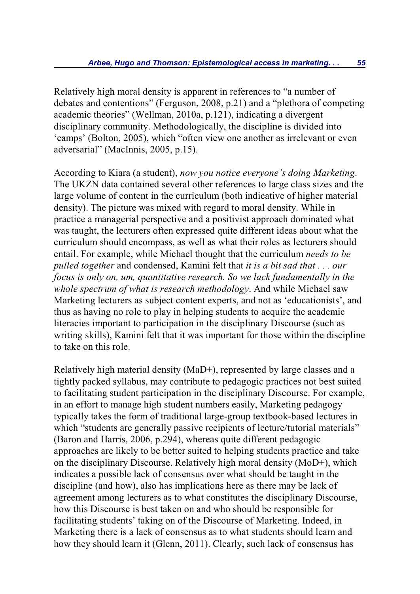Relatively high moral density is apparent in references to "a number of debates and contentions" (Ferguson, 2008, p.21) and a "plethora of competing academic theories" (Wellman, 2010a, p.121), indicating a divergent disciplinary community. Methodologically, the discipline is divided into 'camps' (Bolton, 2005), which "often view one another as irrelevant or even adversarial" (MacInnis, 2005, p.15).

According to Kiara (a student), *now you notice everyone's doing Marketing*. The UKZN data contained several other references to large class sizes and the large volume of content in the curriculum (both indicative of higher material density). The picture was mixed with regard to moral density. While in practice a managerial perspective and a positivist approach dominated what was taught, the lecturers often expressed quite different ideas about what the curriculum should encompass, as well as what their roles as lecturers should entail. For example, while Michael thought that the curriculum *needs to be pulled together* and condensed, Kamini felt that *it is a bit sad that . . . our focus is only on, um, quantitative research. So we lack fundamentally in the whole spectrum of what is research methodology*. And while Michael saw Marketing lecturers as subject content experts, and not as 'educationists', and thus as having no role to play in helping students to acquire the academic literacies important to participation in the disciplinary Discourse (such as writing skills), Kamini felt that it was important for those within the discipline to take on this role.

Relatively high material density (MaD+), represented by large classes and a tightly packed syllabus, may contribute to pedagogic practices not best suited to facilitating student participation in the disciplinary Discourse. For example, in an effort to manage high student numbers easily, Marketing pedagogy typically takes the form of traditional large-group textbook-based lectures in which "students are generally passive recipients of lecture/tutorial materials" (Baron and Harris, 2006, p.294), whereas quite different pedagogic approaches are likely to be better suited to helping students practice and take on the disciplinary Discourse. Relatively high moral density (MoD+), which indicates a possible lack of consensus over what should be taught in the discipline (and how), also has implications here as there may be lack of agreement among lecturers as to what constitutes the disciplinary Discourse, how this Discourse is best taken on and who should be responsible for facilitating students' taking on of the Discourse of Marketing. Indeed, in Marketing there is a lack of consensus as to what students should learn and how they should learn it (Glenn, 2011). Clearly, such lack of consensus has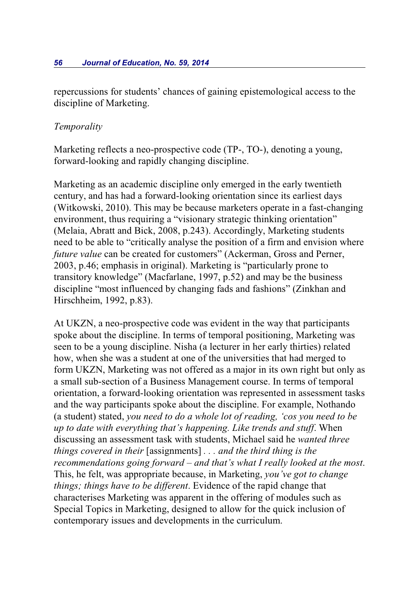repercussions for students' chances of gaining epistemological access to the discipline of Marketing.

### *Temporality*

Marketing reflects a neo-prospective code (TP-, TO-), denoting a young, forward-looking and rapidly changing discipline.

Marketing as an academic discipline only emerged in the early twentieth century, and has had a forward-looking orientation since its earliest days (Witkowski, 2010). This may be because marketers operate in a fast-changing environment, thus requiring a "visionary strategic thinking orientation" (Melaia, Abratt and Bick, 2008, p.243). Accordingly, Marketing students need to be able to "critically analyse the position of a firm and envision where *future value* can be created for customers" (Ackerman, Gross and Perner, 2003, p.46; emphasis in original). Marketing is "particularly prone to transitory knowledge" (Macfarlane, 1997, p.52) and may be the business discipline "most influenced by changing fads and fashions" (Zinkhan and Hirschheim, 1992, p.83).

At UKZN, a neo-prospective code was evident in the way that participants spoke about the discipline. In terms of temporal positioning, Marketing was seen to be a young discipline. Nisha (a lecturer in her early thirties) related how, when she was a student at one of the universities that had merged to form UKZN, Marketing was not offered as a major in its own right but only as a small sub-section of a Business Management course. In terms of temporal orientation, a forward-looking orientation was represented in assessment tasks and the way participants spoke about the discipline. For example, Nothando (a student) stated, *you need to do a whole lot of reading, 'cos you need to be up to date with everything that's happening. Like trends and stuff*. When discussing an assessment task with students, Michael said he *wanted three things covered in their* [assignments] *. . . and the third thing is the recommendations going forward – and that's what I really looked at the most*. This, he felt, was appropriate because, in Marketing, *you've got to change things; things have to be different*. Evidence of the rapid change that characterises Marketing was apparent in the offering of modules such as Special Topics in Marketing, designed to allow for the quick inclusion of contemporary issues and developments in the curriculum.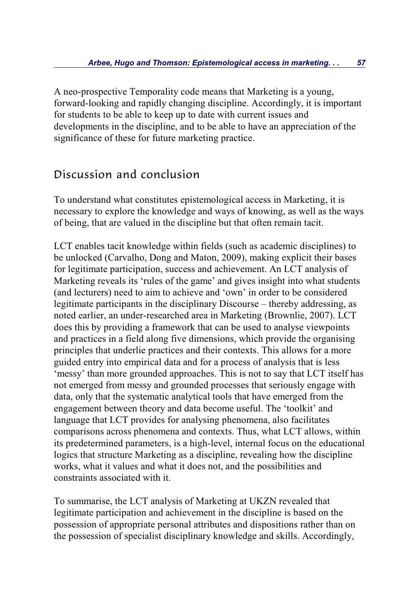A neo-prospective Temporality code means that Marketing is a young, forward-looking and rapidly changing discipline. Accordingly, it is important for students to be able to keep up to date with current issues and developments in the discipline, and to be able to have an appreciation of the significance of these for future marketing practice.

## Discussion and conclusion

To understand what constitutes epistemological access in Marketing, it is necessary to explore the knowledge and ways of knowing, as well as the ways of being, that are valued in the discipline but that often remain tacit.

LCT enables tacit knowledge within fields (such as academic disciplines) to be unlocked (Carvalho, Dong and Maton, 2009), making explicit their bases for legitimate participation, success and achievement. An LCT analysis of Marketing reveals its 'rules of the game' and gives insight into what students (and lecturers) need to aim to achieve and 'own' in order to be considered legitimate participants in the disciplinary Discourse – thereby addressing, as noted earlier, an under-researched area in Marketing (Brownlie, 2007). LCT does this by providing a framework that can be used to analyse viewpoints and practices in a field along five dimensions, which provide the organising principles that underlie practices and their contexts. This allows for a more guided entry into empirical data and for a process of analysis that is less 'messy' than more grounded approaches. This is not to say that LCT itself has not emerged from messy and grounded processes that seriously engage with data, only that the systematic analytical tools that have emerged from the engagement between theory and data become useful. The 'toolkit' and language that LCT provides for analysing phenomena, also facilitates comparisons across phenomena and contexts. Thus, what LCT allows, within its predetermined parameters, is a high-level, internal focus on the educational logics that structure Marketing as a discipline, revealing how the discipline works, what it values and what it does not, and the possibilities and constraints associated with it.

To summarise, the LCT analysis of Marketing at UKZN revealed that legitimate participation and achievement in the discipline is based on the possession of appropriate personal attributes and dispositions rather than on the possession of specialist disciplinary knowledge and skills. Accordingly,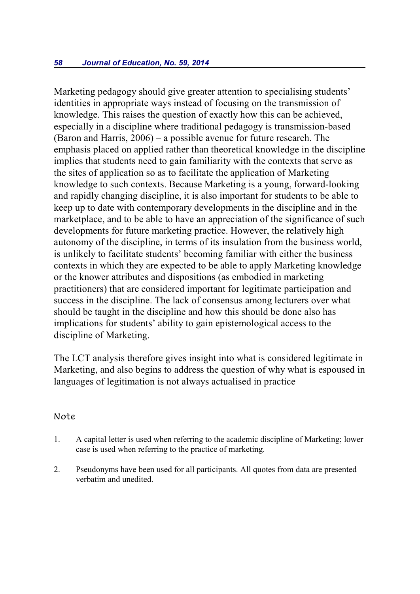Marketing pedagogy should give greater attention to specialising students' identities in appropriate ways instead of focusing on the transmission of knowledge. This raises the question of exactly how this can be achieved, especially in a discipline where traditional pedagogy is transmission-based (Baron and Harris, 2006) – a possible avenue for future research. The emphasis placed on applied rather than theoretical knowledge in the discipline implies that students need to gain familiarity with the contexts that serve as the sites of application so as to facilitate the application of Marketing knowledge to such contexts. Because Marketing is a young, forward-looking and rapidly changing discipline, it is also important for students to be able to keep up to date with contemporary developments in the discipline and in the marketplace, and to be able to have an appreciation of the significance of such developments for future marketing practice. However, the relatively high autonomy of the discipline, in terms of its insulation from the business world, is unlikely to facilitate students' becoming familiar with either the business contexts in which they are expected to be able to apply Marketing knowledge or the knower attributes and dispositions (as embodied in marketing practitioners) that are considered important for legitimate participation and success in the discipline. The lack of consensus among lecturers over what should be taught in the discipline and how this should be done also has implications for students' ability to gain epistemological access to the discipline of Marketing.

The LCT analysis therefore gives insight into what is considered legitimate in Marketing, and also begins to address the question of why what is espoused in languages of legitimation is not always actualised in practice

#### Note

- 1. A capital letter is used when referring to the academic discipline of Marketing; lower case is used when referring to the practice of marketing.
- 2. Pseudonyms have been used for all participants. All quotes from data are presented verbatim and unedited.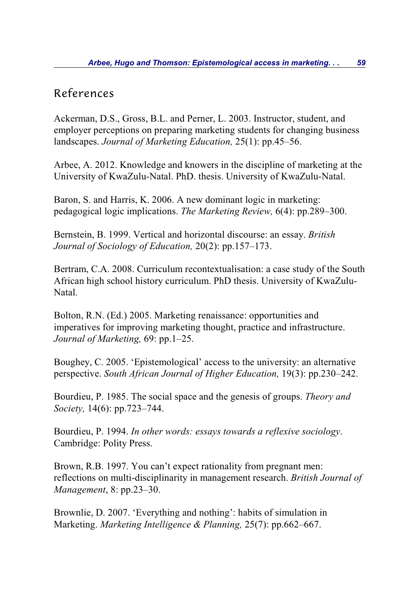### References

Ackerman, D.S., Gross, B.L. and Perner, L. 2003. Instructor, student, and employer perceptions on preparing marketing students for changing business landscapes. *Journal of Marketing Education,* 25(1): pp.45–56.

Arbee, A. 2012. Knowledge and knowers in the discipline of marketing at the University of KwaZulu-Natal. PhD. thesis. University of KwaZulu-Natal.

Baron, S. and Harris, K. 2006. A new dominant logic in marketing: pedagogical logic implications. *The Marketing Review,* 6(4): pp.289–300.

Bernstein, B. 1999. Vertical and horizontal discourse: an essay. *British Journal of Sociology of Education,* 20(2): pp.157–173.

Bertram, C.A. 2008. Curriculum recontextualisation: a case study of the South African high school history curriculum. PhD thesis. University of KwaZulu-Natal.

Bolton, R.N. (Ed.) 2005. Marketing renaissance: opportunities and imperatives for improving marketing thought, practice and infrastructure. *Journal of Marketing,* 69: pp.1–25.

Boughey, C. 2005. 'Epistemological' access to the university: an alternative perspective. *South African Journal of Higher Education,* 19(3): pp.230–242.

Bourdieu, P. 1985. The social space and the genesis of groups. *Theory and Society,* 14(6): pp.723–744.

Bourdieu, P. 1994. *In other words: essays towards a reflexive sociology*. Cambridge: Polity Press.

Brown, R.B. 1997. You can't expect rationality from pregnant men: reflections on multi-disciplinarity in management research. *British Journal of Management*, 8: pp.23–30.

Brownlie, D. 2007. 'Everything and nothing': habits of simulation in Marketing. *Marketing Intelligence & Planning,* 25(7): pp.662–667.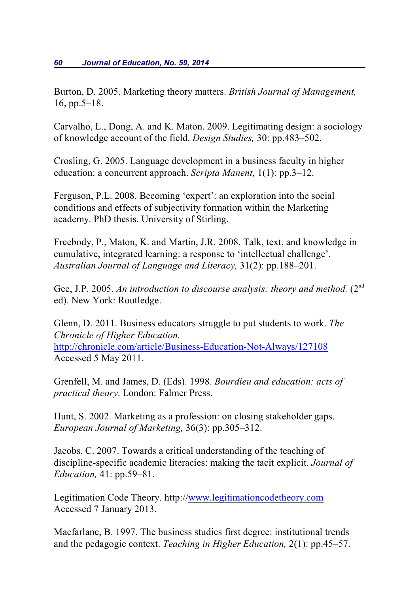Burton, D. 2005. Marketing theory matters. *British Journal of Management,* 16, pp.5–18.

Carvalho, L., Dong, A. and K. Maton. 2009. Legitimating design: a sociology of knowledge account of the field. *Design Studies,* 30: pp.483–502.

Crosling, G. 2005. Language development in a business faculty in higher education: a concurrent approach. *Scripta Manent,* 1(1): pp.3–12.

Ferguson, P.L. 2008. Becoming 'expert': an exploration into the social conditions and effects of subjectivity formation within the Marketing academy. PhD thesis. University of Stirling.

Freebody, P., Maton, K. and Martin, J.R. 2008. Talk, text, and knowledge in cumulative, integrated learning: a response to 'intellectual challenge'. *Australian Journal of Language and Literacy,* 31(2): pp.188–201.

Gee, J.P. 2005. An introduction to discourse analysis: theory and method. (2<sup>nd</sup>) ed). New York: Routledge.

Glenn, D. 2011. Business educators struggle to put students to work. *The Chronicle of Higher Education.* http://chronicle.com/article/Business-Education-Not-Always/127108 Accessed 5 May 2011.

Grenfell, M. and James, D. (Eds). 1998. *Bourdieu and education: acts of practical theory*. London: Falmer Press.

Hunt, S. 2002. Marketing as a profession: on closing stakeholder gaps. *European Journal of Marketing,* 36(3): pp.305–312.

Jacobs, C. 2007. Towards a critical understanding of the teaching of discipline-specific academic literacies: making the tacit explicit. *Journal of Education,* 41: pp.59–81.

Legitimation Code Theory. http:/[/www.legitimationcodetheory.com](http://www.legitimationcodetheory.com) Accessed 7 January 2013.

Macfarlane, B. 1997. The business studies first degree: institutional trends and the pedagogic context. *Teaching in Higher Education,* 2(1): pp.45–57.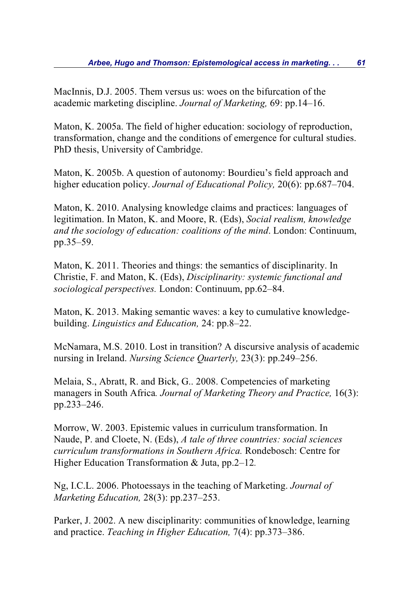MacInnis, D.J. 2005. Them versus us: woes on the bifurcation of the academic marketing discipline. *Journal of Marketing,* 69: pp.14–16.

Maton, K. 2005a. The field of higher education: sociology of reproduction, transformation, change and the conditions of emergence for cultural studies. PhD thesis, University of Cambridge.

Maton, K. 2005b. A question of autonomy: Bourdieu's field approach and higher education policy. *Journal of Educational Policy,* 20(6): pp.687–704.

Maton, K. 2010. Analysing knowledge claims and practices: languages of legitimation. In Maton, K. and Moore, R. (Eds), *Social realism, knowledge and the sociology of education: coalitions of the mind*. London: Continuum, pp.35–59.

Maton, K. 2011. Theories and things: the semantics of disciplinarity. In Christie, F. and Maton, K. (Eds), *Disciplinarity: systemic functional and sociological perspectives.* London: Continuum, pp.62–84.

Maton, K. 2013. Making semantic waves: a key to cumulative knowledgebuilding. *Linguistics and Education,* 24: pp.8–22.

McNamara, M.S. 2010. Lost in transition? A discursive analysis of academic nursing in Ireland. *Nursing Science Quarterly,* 23(3): pp.249–256.

Melaia, S., Abratt, R. and Bick, G.. 2008. Competencies of marketing managers in South Africa*. Journal of Marketing Theory and Practice,* 16(3): pp.233–246.

Morrow, W. 2003. Epistemic values in curriculum transformation. In Naude, P. and Cloete, N. (Eds), *A tale of three countries: social sciences curriculum transformations in Southern Africa.* Rondebosch: Centre for Higher Education Transformation & Juta, pp.2–12*.*

Ng, I.C.L. 2006. Photoessays in the teaching of Marketing. *Journal of Marketing Education,* 28(3): pp.237–253.

Parker, J. 2002. A new disciplinarity: communities of knowledge, learning and practice. *Teaching in Higher Education,* 7(4): pp.373–386.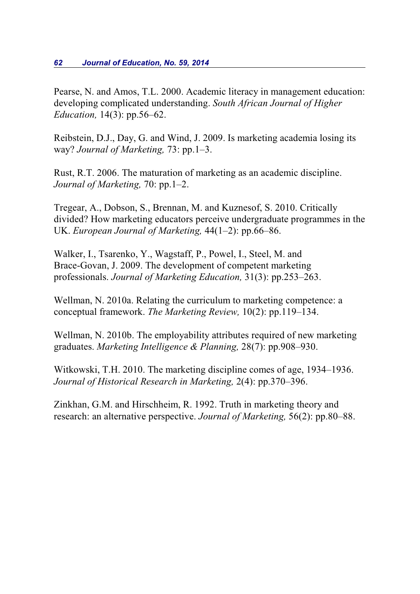#### *62 Journal of Education, No. 59, 2014*

Pearse, N. and Amos, T.L. 2000. Academic literacy in management education: developing complicated understanding. *South African Journal of Higher Education,* 14(3): pp.56–62.

Reibstein, D.J., Day, G. and Wind, J. 2009. Is marketing academia losing its way? *Journal of Marketing,* 73: pp.1–3.

Rust, R.T. 2006. The maturation of marketing as an academic discipline. *Journal of Marketing,* 70: pp.1–2.

Tregear, A., Dobson, S., Brennan, M. and Kuznesof, S. 2010. Critically divided? How marketing educators perceive undergraduate programmes in the UK. *European Journal of Marketing,* 44(1–2): pp.66–86.

Walker, I., Tsarenko, Y., Wagstaff, P., Powel, I., Steel, M. and Brace-Govan, J. 2009. The development of competent marketing professionals. *Journal of Marketing Education,* 31(3): pp.253–263.

Wellman, N. 2010a. Relating the curriculum to marketing competence: a conceptual framework. *The Marketing Review,* 10(2): pp.119–134.

Wellman, N. 2010b. The employability attributes required of new marketing graduates. *Marketing Intelligence & Planning,* 28(7): pp.908–930.

Witkowski, T.H. 2010. The marketing discipline comes of age, 1934–1936. *Journal of Historical Research in Marketing,* 2(4): pp.370–396.

Zinkhan, G.M. and Hirschheim, R. 1992. Truth in marketing theory and research: an alternative perspective. *Journal of Marketing,* 56(2): pp.80–88.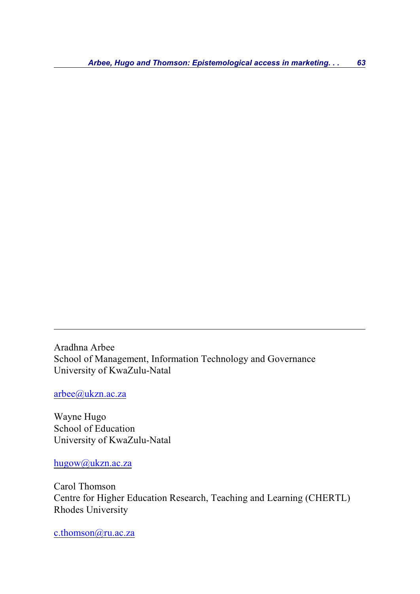Aradhna Arbee School of Management, Information Technology and Governance University of KwaZulu-Natal

[arbee@ukzn.ac.za](mailto:arbee@ukzn.ac.za)

Wayne Hugo School of Education University of KwaZulu-Natal

[hugow@ukzn.ac.za](mailto:hugow@ukzn.ac.za)

Carol Thomson Centre for Higher Education Research, Teaching and Learning (CHERTL) Rhodes University

[c.thomson@ru.ac.za](mailto:c.thomson@ru.ac.za)